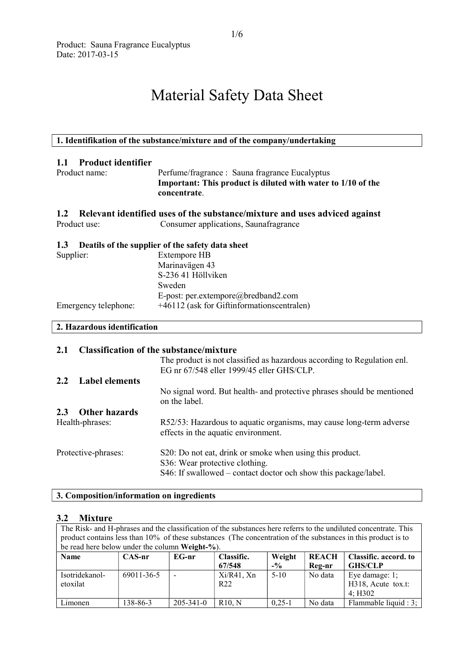# Material Safety Data Sheet

# 1. Identifikation of the substance/mixture and of the company/undertaking 1.1 Product identifier Product name: Perfume/fragrance : Sauna fragrance Eucalyptus Important: This product is diluted with water to 1/10 of the concentrate. 1.2 Relevant identified uses of the substance/mixture and uses adviced against Product use: Consumer applications, Saunafragrance 1.3 Deatils of the supplier of the safety data sheet Supplier: Extempore HB Marinavägen 43 S-236 41 Höllviken Sweden E-post: per.extempore@bredband2.com Emergency telephone:  $+46112$  (ask for Giftinformationscentralen) 2. Hazardous identification 2.1 Classification of the substance/mixture The product is not classified as hazardous according to Regulation enl. EG nr 67/548 eller 1999/45 eller GHS/CLP. 2.2 Label elements

| 2.2<br>Label elements |                                                                                                            |
|-----------------------|------------------------------------------------------------------------------------------------------------|
|                       | No signal word. But health- and protective phrases should be mentioned<br>on the label.                    |
| 2.3 Other hazards     |                                                                                                            |
| Health-phrases:       | R52/53: Hazardous to aquatic organisms, may cause long-term adverse<br>effects in the aquatic environment. |
| Protective-phrases:   | S20: Do not eat, drink or smoke when using this product.                                                   |
|                       | S36: Wear protective clothing.                                                                             |
|                       | S46: If swallowed – contact doctor och show this package/label.                                            |

# 3. Composition/information on ingredients

#### 3.2 Mixture

The Risk- and H-phrases and the classification of the substances here referrs to the undiluted concentrate. This product contains less than 10% of these substances (The concentration of the substances in this product is to be read here below under the column Weight-%). Name CAS-nr EG-nr Classific. 67/548 Weight  $-$ <sup>0</sup>/<sub>0</sub> **REACH** Reg-nr Classific. accord. to GHS/CLP Isotridekanoletoxilat 69011-36-5 -  $Xi/R41, Xn$ R22 5-10 No data Eye damage: 1; H318, Acute tox.t:

Limonen 138-86-3 205-341-0 R10, N 0,25-1 No data Flammable liquid : 3;

4; H302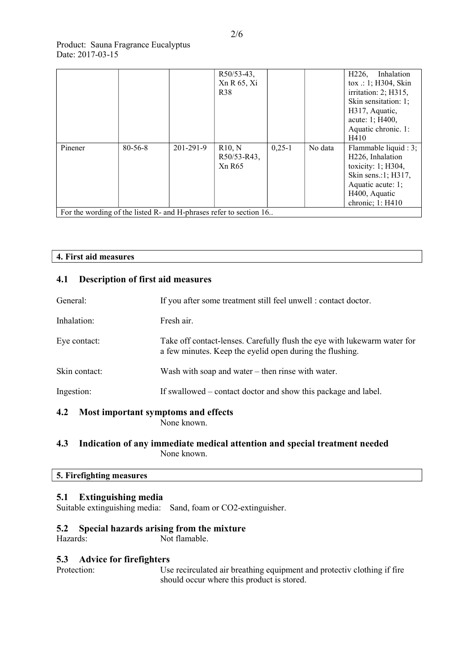|                                                                    |               |           | $R50/53-43$ ,<br>Xn R 65, Xi<br>R <sub>38</sub> |          |         | Inhalation<br>H <sub>226</sub> ,<br>$\text{tox} :: 1; H304, \text{Skin}$<br>irritation: 2; H315,<br>Skin sensitation: 1;<br>H317, Aquatic,<br>acute: 1; H400,<br>Aquatic chronic. 1:<br>H410 |
|--------------------------------------------------------------------|---------------|-----------|-------------------------------------------------|----------|---------|----------------------------------------------------------------------------------------------------------------------------------------------------------------------------------------------|
| Pinener                                                            | $80 - 56 - 8$ | 201-291-9 | R10, N<br>R50/53-R43,<br><b>Xn R65</b>          | $0,25-1$ | No data | Flammable liquid : 3;<br>H <sub>226</sub> , Inhalation<br>toxicity: $1; H304,$<br>Skin sens.:1; H317,<br>Aquatic acute: 1;<br>H400, Aquatic<br>chronic; 1: H410                              |
| For the wording of the listed R- and H-phrases refer to section 16 |               |           |                                                 |          |         |                                                                                                                                                                                              |

# 4. First aid measures

# 4.1 Description of first aid measures

| General:      | If you after some treatment still feel unwell : contact doctor.                                                                      |  |
|---------------|--------------------------------------------------------------------------------------------------------------------------------------|--|
| Inhalation:   | Fresh air.                                                                                                                           |  |
| Eye contact:  | Take off contact-lenses. Carefully flush the eye with lukewarm water for<br>a few minutes. Keep the eyelid open during the flushing. |  |
| Skin contact: | Wash with soap and water $-$ then rinse with water.                                                                                  |  |
| Ingestion:    | If swallowed – contact doctor and show this package and label.                                                                       |  |
| 4.2           | Most important symptoms and effects<br>None known                                                                                    |  |

None known.

# 4.3 Indication of any immediate medical attention and special treatment needed None known.

# 5. Firefighting measures

# 5.1 Extinguishing media

Suitable extinguishing media: Sand, foam or CO2-extinguisher.

# 5.2 Special hazards arising from the mixture<br>Hazards: Not flamable.

Not flamable.

# 5.3 Advice for firefighters

Protection: Use recirculated air breathing equipment and protectiv clothing if fire should occur where this product is stored.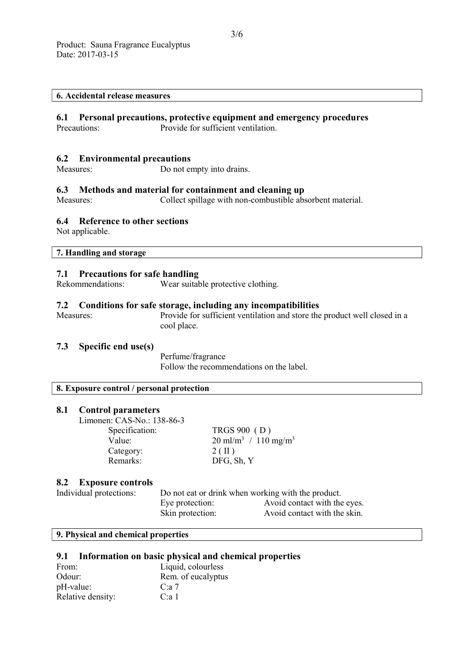#### 6. Accidental release measures

# 6.1 Personal precautions, protective equipment and emergency procedures

Precautions: Provide for sufficient ventilation.

#### 6.2 Environmental precautions

Measures: Do not empty into drains.

#### 6.3 Methods and material for containment and cleaning up

Measures: Collect spillage with non-combustible absorbent material.

# 6.4 Reference to other sections

Not applicable.

#### 7. Handling and storage

#### 7.1 Precautions for safe handling

Rekommendations: Wear suitable protective clothing.

# 7.2 Conditions for safe storage, including any incompatibilities

Measures: Provide for sufficient ventilation and store the product well closed in a cool place.

#### 7.3 Specific end use(s)

Perfume/fragrance Follow the recommendations on the label.

#### 8. Exposure control / personal protection

#### 8.1 Control parameters

Limonen: CAS-No.: 138-86-3 Specification: TRGS 900 (D) Category: 2 ( II ) Remarks: DFG, Sh, Y

Value:  $20 \text{ ml/m}^3 / 110 \text{ mg/m}^3$ 

#### 8.2 Exposure controls

Individual protections: Do not eat or drink when working with the product. Eye protection: Avoid contact with the eyes. Skin protection: Avoid contact with the skin.

#### 9. Physical and chemical properties

#### 9.1 Information on basic physical and chemical properties

| From:             | Liquid, colourless |
|-------------------|--------------------|
| Odour:            | Rem. of eucalyptus |
| pH-value:         | C: a 7             |
| Relative density: | C: a 1             |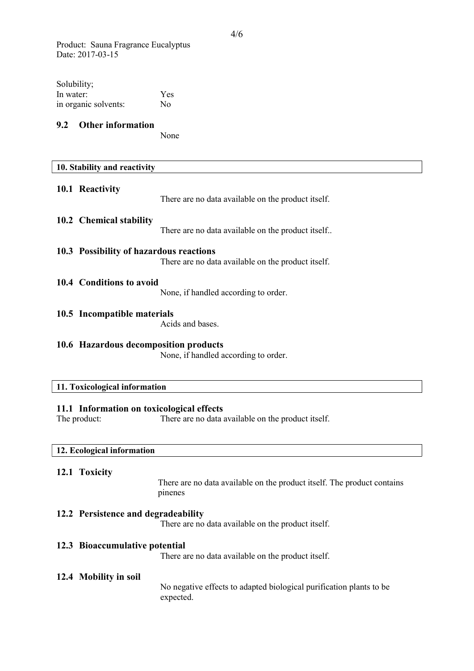Product: Sauna Fragrance Eucalyptus Date: 2017-03-15

| Solubility;          |     |
|----------------------|-----|
| In water:            | Yes |
| in organic solvents: | No  |

# 9.2 Other information

None

|                                                                                                                 | 10. Stability and reactivity            |                                                    |
|-----------------------------------------------------------------------------------------------------------------|-----------------------------------------|----------------------------------------------------|
|                                                                                                                 | 10.1 Reactivity                         | There are no data available on the product itself. |
|                                                                                                                 | 10.2 Chemical stability                 | There are no data available on the product itself  |
|                                                                                                                 | 10.3 Possibility of hazardous reactions | There are no data available on the product itself. |
|                                                                                                                 | 10.4 Conditions to avoid                | None, if handled according to order.               |
|                                                                                                                 | 10.5 Incompatible materials             | Acids and bases.                                   |
| 10.6 Hazardous decomposition products<br>None, if handled according to order.                                   |                                         |                                                    |
| 11. Toxicological information                                                                                   |                                         |                                                    |
| 11.1 Information on toxicological effects<br>The product:<br>There are no data available on the product itself. |                                         |                                                    |

# 12. Ecological information

#### 12.1 Toxicity

 $\overline{\phantom{a}}$ 

There are no data available on the product itself. The product contains pinenes

# 12.2 Persistence and degradeability

There are no data available on the product itself.

### 12.3 Bioaccumulative potential

There are no data available on the product itself.

# 12.4 Mobility in soil

No negative effects to adapted biological purification plants to be expected.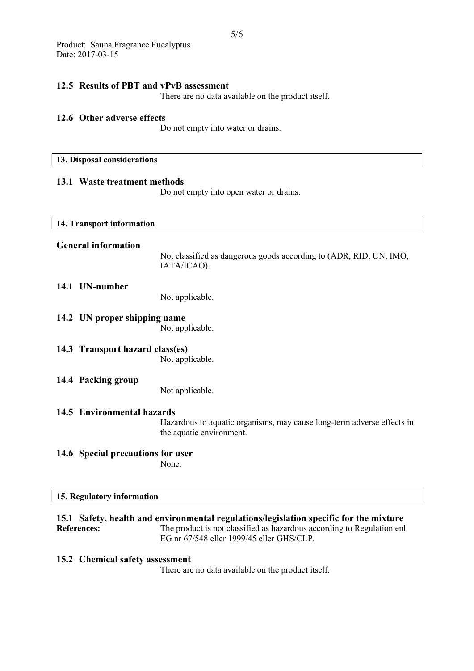#### 12.5 Results of PBT and vPvB assessment

There are no data available on the product itself.

#### 12.6 Other adverse effects

Do not empty into water or drains.

#### 13. Disposal considerations

# 13.1 Waste treatment methods

Do not empty into open water or drains.

| 14. Transport information         |                                                                                                    |
|-----------------------------------|----------------------------------------------------------------------------------------------------|
| <b>General information</b>        | Not classified as dangerous goods according to (ADR, RID, UN, IMO,<br>IATA/ICAO).                  |
| 14.1 UN-number                    | Not applicable.                                                                                    |
| 14.2 UN proper shipping name      | Not applicable.                                                                                    |
| 14.3 Transport hazard class(es)   | Not applicable.                                                                                    |
| 14.4 Packing group                | Not applicable.                                                                                    |
| 14.5 Environmental hazards        |                                                                                                    |
|                                   | Hazardous to aquatic organisms, may cause long-term adverse effects in<br>the aquatic environment. |
| 14.6 Special precautions for user | None.                                                                                              |

# 15. Regulatory information

15.1 Safety, health and environmental regulations/legislation specific for the mixture References: The product is not classified as hazardous according to Regulation enl. EG nr 67/548 eller 1999/45 eller GHS/CLP.

### 15.2 Chemical safety assessment

There are no data available on the product itself.